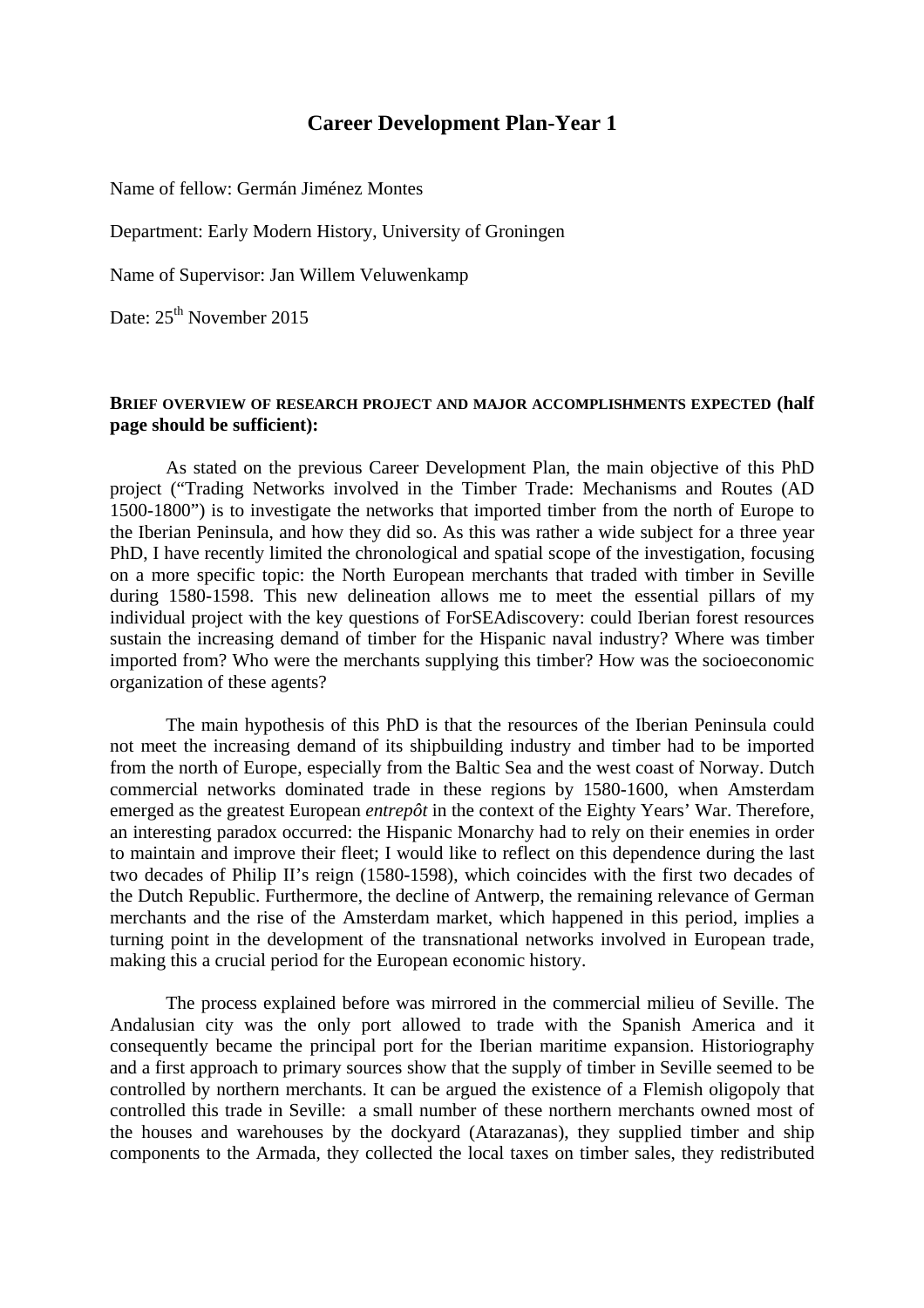# **Career Development Plan-Year 1**

Name of fellow: Germán Jiménez Montes

Department: Early Modern History, University of Groningen

Name of Supervisor: Jan Willem Veluwenkamp

Date:  $25<sup>th</sup>$  November 2015

#### **BRIEF OVERVIEW OF RESEARCH PROJECT AND MAJOR ACCOMPLISHMENTS EXPECTED (half page should be sufficient):**

As stated on the previous Career Development Plan, the main objective of this PhD project ("Trading Networks involved in the Timber Trade: Mechanisms and Routes (AD 1500-1800") is to investigate the networks that imported timber from the north of Europe to the Iberian Peninsula, and how they did so. As this was rather a wide subject for a three year PhD, I have recently limited the chronological and spatial scope of the investigation, focusing on a more specific topic: the North European merchants that traded with timber in Seville during 1580-1598. This new delineation allows me to meet the essential pillars of my individual project with the key questions of ForSEAdiscovery: could Iberian forest resources sustain the increasing demand of timber for the Hispanic naval industry? Where was timber imported from? Who were the merchants supplying this timber? How was the socioeconomic organization of these agents?

The main hypothesis of this PhD is that the resources of the Iberian Peninsula could not meet the increasing demand of its shipbuilding industry and timber had to be imported from the north of Europe, especially from the Baltic Sea and the west coast of Norway. Dutch commercial networks dominated trade in these regions by 1580-1600, when Amsterdam emerged as the greatest European *entrepôt* in the context of the Eighty Years' War. Therefore, an interesting paradox occurred: the Hispanic Monarchy had to rely on their enemies in order to maintain and improve their fleet; I would like to reflect on this dependence during the last two decades of Philip II's reign (1580-1598), which coincides with the first two decades of the Dutch Republic. Furthermore, the decline of Antwerp, the remaining relevance of German merchants and the rise of the Amsterdam market, which happened in this period, implies a turning point in the development of the transnational networks involved in European trade, making this a crucial period for the European economic history.

The process explained before was mirrored in the commercial milieu of Seville. The Andalusian city was the only port allowed to trade with the Spanish America and it consequently became the principal port for the Iberian maritime expansion. Historiography and a first approach to primary sources show that the supply of timber in Seville seemed to be controlled by northern merchants. It can be argued the existence of a Flemish oligopoly that controlled this trade in Seville: a small number of these northern merchants owned most of the houses and warehouses by the dockyard (Atarazanas), they supplied timber and ship components to the Armada, they collected the local taxes on timber sales, they redistributed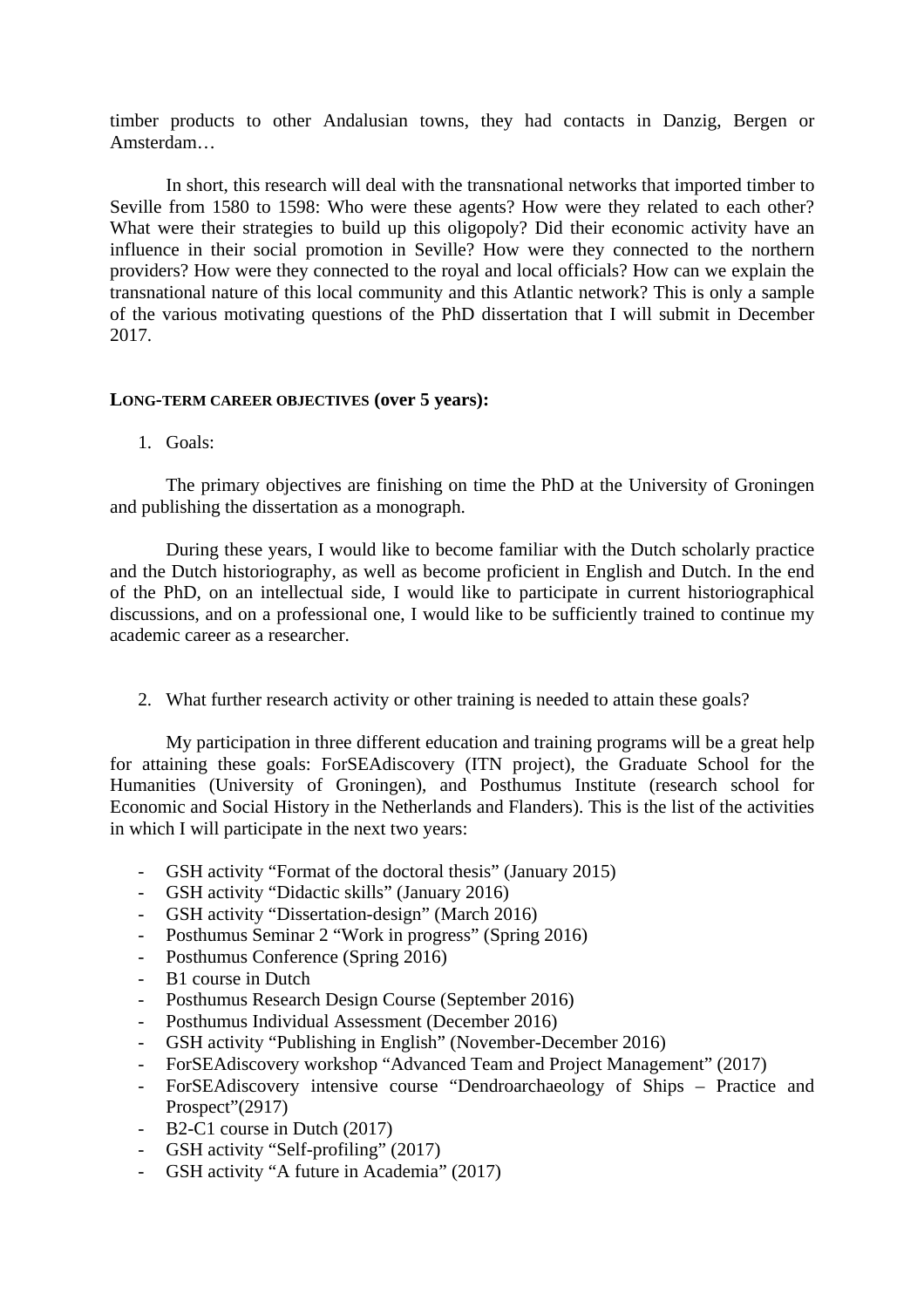timber products to other Andalusian towns, they had contacts in Danzig, Bergen or Amsterdam…

In short, this research will deal with the transnational networks that imported timber to Seville from 1580 to 1598: Who were these agents? How were they related to each other? What were their strategies to build up this oligopoly? Did their economic activity have an influence in their social promotion in Seville? How were they connected to the northern providers? How were they connected to the royal and local officials? How can we explain the transnational nature of this local community and this Atlantic network? This is only a sample of the various motivating questions of the PhD dissertation that I will submit in December 2017.

#### **LONG-TERM CAREER OBJECTIVES (over 5 years):**

1. Goals:

The primary objectives are finishing on time the PhD at the University of Groningen and publishing the dissertation as a monograph.

During these years, I would like to become familiar with the Dutch scholarly practice and the Dutch historiography, as well as become proficient in English and Dutch. In the end of the PhD, on an intellectual side, I would like to participate in current historiographical discussions, and on a professional one, I would like to be sufficiently trained to continue my academic career as a researcher.

2. What further research activity or other training is needed to attain these goals?

My participation in three different education and training programs will be a great help for attaining these goals: ForSEAdiscovery (ITN project), the Graduate School for the Humanities (University of Groningen), and Posthumus Institute (research school for Economic and Social History in the Netherlands and Flanders). This is the list of the activities in which I will participate in the next two years:

- GSH activity "Format of the doctoral thesis" (January 2015)
- GSH activity "Didactic skills" (January 2016)
- GSH activity "Dissertation-design" (March 2016)
- Posthumus Seminar 2 "Work in progress" (Spring 2016)
- Posthumus Conference (Spring 2016)
- B1 course in Dutch
- Posthumus Research Design Course (September 2016)
- Posthumus Individual Assessment (December 2016)
- GSH activity "Publishing in English" (November-December 2016)
- ForSEAdiscovery workshop "Advanced Team and Project Management" (2017)
- ForSEAdiscovery intensive course "Dendroarchaeology of Ships Practice and Prospect"(2917)
- B2-C1 course in Dutch (2017)
- GSH activity "Self-profiling" (2017)
- GSH activity "A future in Academia" (2017)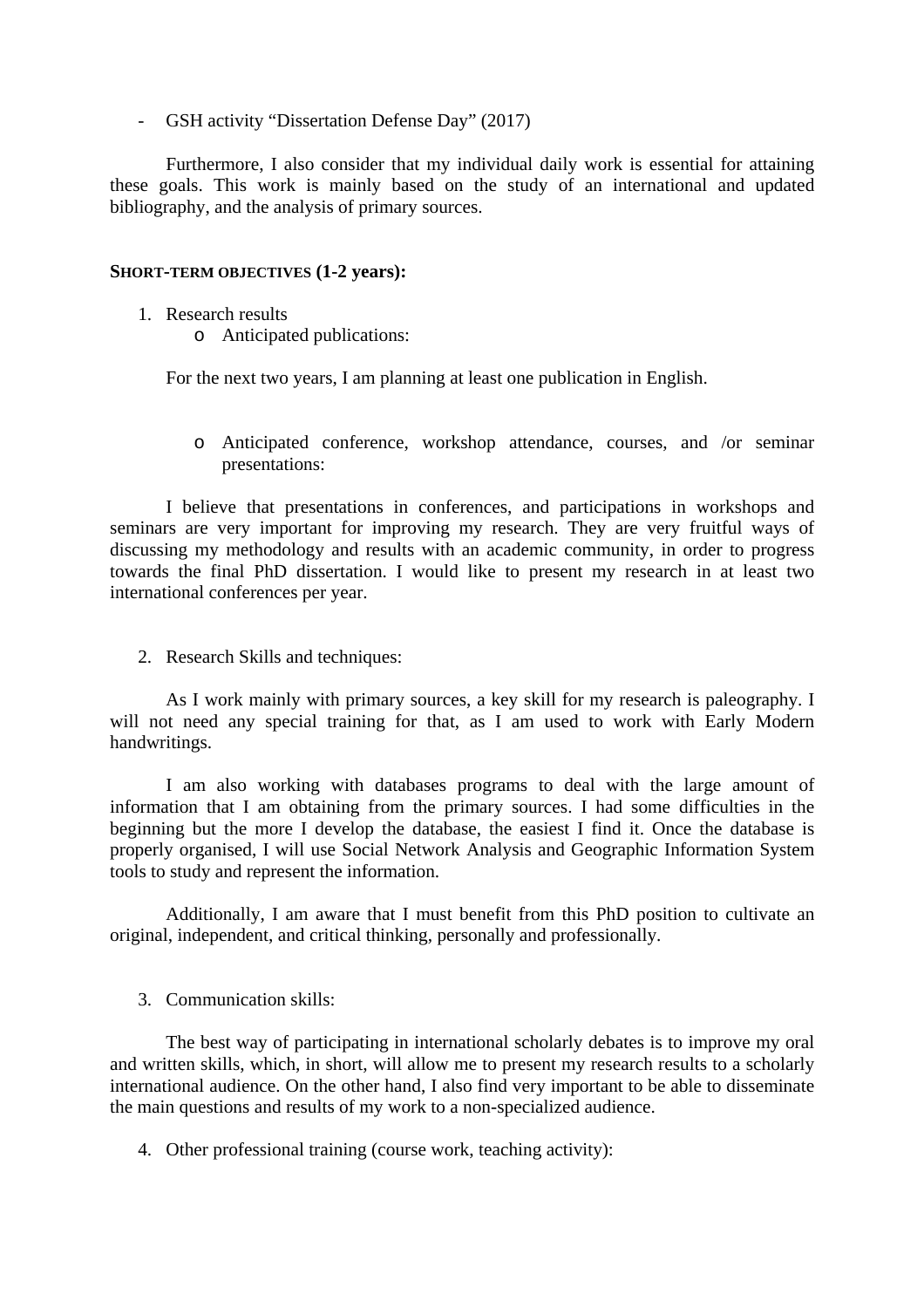- GSH activity "Dissertation Defense Day" (2017)

Furthermore, I also consider that my individual daily work is essential for attaining these goals. This work is mainly based on the study of an international and updated bibliography, and the analysis of primary sources.

### **SHORT-TERM OBJECTIVES (1-2 years):**

- 1. Research results
	- o Anticipated publications:

For the next two years, I am planning at least one publication in English.

o Anticipated conference, workshop attendance, courses, and /or seminar presentations:

I believe that presentations in conferences, and participations in workshops and seminars are very important for improving my research. They are very fruitful ways of discussing my methodology and results with an academic community, in order to progress towards the final PhD dissertation. I would like to present my research in at least two international conferences per year.

2. Research Skills and techniques:

As I work mainly with primary sources, a key skill for my research is paleography. I will not need any special training for that, as I am used to work with Early Modern handwritings.

I am also working with databases programs to deal with the large amount of information that I am obtaining from the primary sources. I had some difficulties in the beginning but the more I develop the database, the easiest I find it. Once the database is properly organised, I will use Social Network Analysis and Geographic Information System tools to study and represent the information.

Additionally, I am aware that I must benefit from this PhD position to cultivate an original, independent, and critical thinking, personally and professionally.

## 3. Communication skills:

The best way of participating in international scholarly debates is to improve my oral and written skills, which, in short, will allow me to present my research results to a scholarly international audience. On the other hand, I also find very important to be able to disseminate the main questions and results of my work to a non-specialized audience.

4. Other professional training (course work, teaching activity):